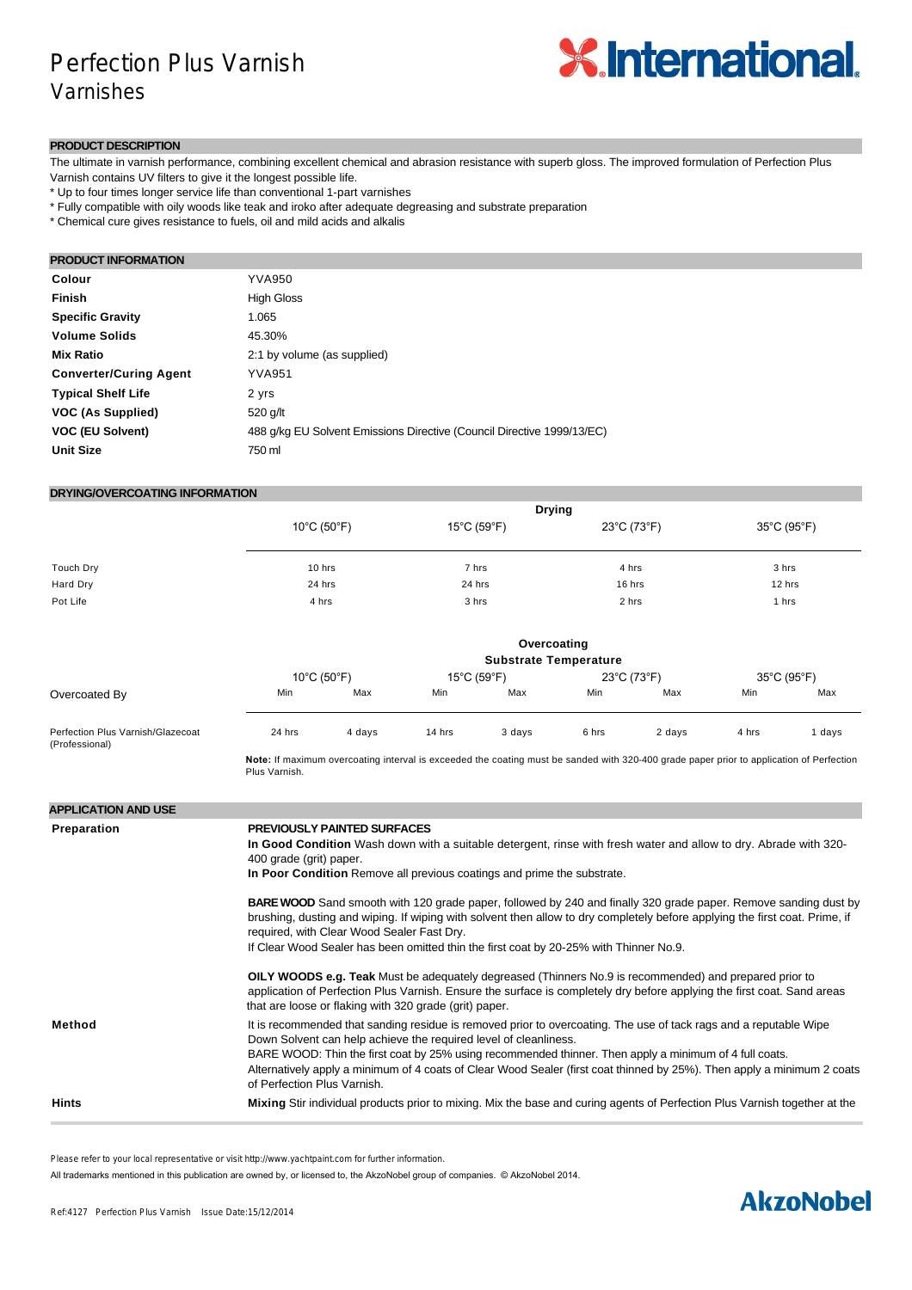## Perfection Plus Varnish Varnishes



#### **PRODUCT DESCRIPTION**

The ultimate in varnish performance, combining excellent chemical and abrasion resistance with superb gloss. The improved formulation of Perfection Plus Varnish contains UV filters to give it the longest possible life.

\* Up to four times longer service life than conventional 1-part varnishes

\* Fully compatible with oily woods like teak and iroko after adequate degreasing and substrate preparation

\* Chemical cure gives resistance to fuels, oil and mild acids and alkalis

### **PRODUCT INFORMATION**

| Colour                        | <b>YVA950</b>                                                          |
|-------------------------------|------------------------------------------------------------------------|
| <b>Finish</b>                 | <b>High Gloss</b>                                                      |
| <b>Specific Gravity</b>       | 1.065                                                                  |
| <b>Volume Solids</b>          | 45.30%                                                                 |
| <b>Mix Ratio</b>              | 2:1 by volume (as supplied)                                            |
| <b>Converter/Curing Agent</b> | <b>YVA951</b>                                                          |
| <b>Typical Shelf Life</b>     | 2 yrs                                                                  |
| VOC (As Supplied)             | 520 g/lt                                                               |
| <b>VOC (EU Solvent)</b>       | 488 g/kg EU Solvent Emissions Directive (Council Directive 1999/13/EC) |
| <b>Unit Size</b>              | 750 ml                                                                 |

#### **DRYING/OVERCOATING INFORMATION**

|           | <b>Drying</b>                    |                                  |             |             |
|-----------|----------------------------------|----------------------------------|-------------|-------------|
|           | $10^{\circ}$ C (50 $^{\circ}$ F) | $15^{\circ}$ C (59 $^{\circ}$ F) | 23°C (73°F) | 35°C (95°F) |
| Touch Dry | 10 hrs                           | 7 hrs                            | 4 hrs       | 3 hrs       |
| Hard Dry  | 24 hrs                           | 24 hrs                           | 16 hrs      | 12 hrs      |
| Pot Life  | 4 hrs                            | 3 hrs                            | 2 hrs       | 1 hrs       |

|                                                     |        |                                  |                                  | Overcoating<br><b>Substrate Temperature</b> |       |             |       |             |
|-----------------------------------------------------|--------|----------------------------------|----------------------------------|---------------------------------------------|-------|-------------|-------|-------------|
|                                                     |        | $10^{\circ}$ C (50 $^{\circ}$ F) | $15^{\circ}$ C (59 $^{\circ}$ F) |                                             |       | 23°C (73°F) |       | 35°C (95°F) |
| Overcoated By                                       | Min    | Max                              | Min                              | Max                                         | Min   | Max         | Min   | Max         |
| Perfection Plus Varnish/Glazecoat<br>(Professional) | 24 hrs | 4 days                           | 14 hrs                           | 3 days                                      | 6 hrs | 2 days      | 4 hrs | days        |

**Note:** If maximum overcoating interval is exceeded the coating must be sanded with 320-400 grade paper prior to application of Perfection Plus Varnish.

| <b>APPLICATION AND USE</b> |                                                                                                                                                                                                                                                                                                                                                                                                                                                           |
|----------------------------|-----------------------------------------------------------------------------------------------------------------------------------------------------------------------------------------------------------------------------------------------------------------------------------------------------------------------------------------------------------------------------------------------------------------------------------------------------------|
| Preparation                | <b>PREVIOUSLY PAINTED SURFACES</b><br>In Good Condition Wash down with a suitable detergent, rinse with fresh water and allow to dry. Abrade with 320-<br>400 grade (grit) paper.<br>In Poor Condition Remove all previous coatings and prime the substrate.                                                                                                                                                                                              |
|                            | <b>BARE WOOD</b> Sand smooth with 120 grade paper, followed by 240 and finally 320 grade paper. Remove sanding dust by<br>brushing, dusting and wiping. If wiping with solvent then allow to dry completely before applying the first coat. Prime, if<br>required, with Clear Wood Sealer Fast Dry.<br>If Clear Wood Sealer has been omitted thin the first coat by 20-25% with Thinner No.9.                                                             |
|                            | <b>OILY WOODS e.g. Teak</b> Must be adequately degreased (Thinners No.9 is recommended) and prepared prior to<br>application of Perfection Plus Varnish. Ensure the surface is completely dry before applying the first coat. Sand areas<br>that are loose or flaking with 320 grade (grit) paper.                                                                                                                                                        |
| Method                     | It is recommended that sanding residue is removed prior to overcoating. The use of tack rags and a reputable Wipe<br>Down Solvent can help achieve the required level of cleanliness.<br>BARE WOOD: Thin the first coat by 25% using recommended thinner. Then apply a minimum of 4 full coats.<br>Alternatively apply a minimum of 4 coats of Clear Wood Sealer (first coat thinned by 25%). Then apply a minimum 2 coats<br>of Perfection Plus Varnish. |
| <b>Hints</b>               | Mixing Stir individual products prior to mixing. Mix the base and curing agents of Perfection Plus Varnish together at the                                                                                                                                                                                                                                                                                                                                |

Please refer to your local representative or visit http://www.yachtpaint.com for further information.

All trademarks mentioned in this publication are owned by, or licensed to, the AkzoNobel group of companies. © AkzoNobel 2014.